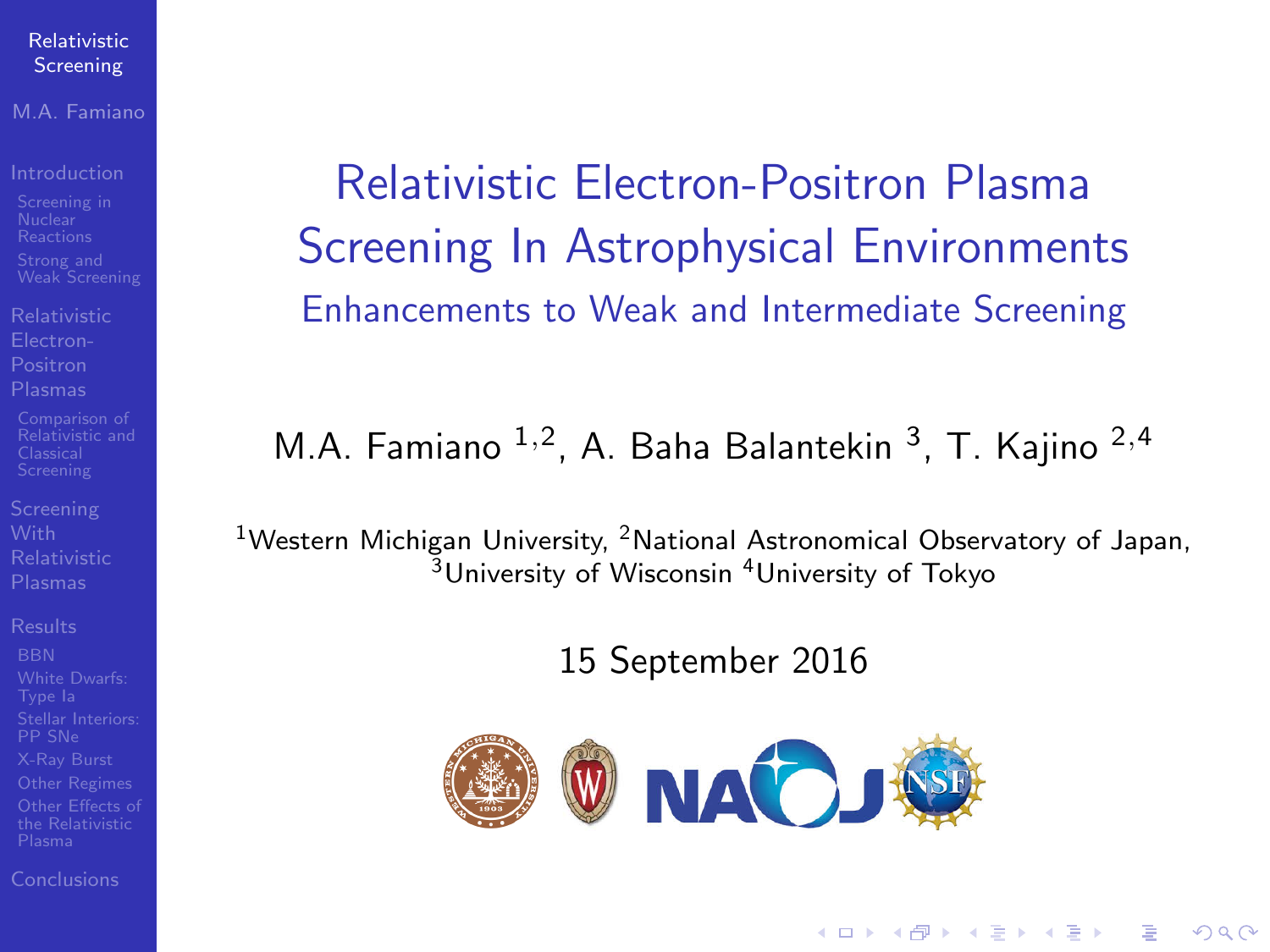### M.A. Famiano

- 
- [Relativistic](#page-5-0) Positron
- 
- 
- [Other Regimes](#page-14-0)

[Conclusions](#page-14-0)

<span id="page-0-0"></span>Relativistic Electron-Positron Plasma Screening In Astrophysical Environments Enhancements to Weak and Intermediate Screening

## M.A. Famiano <sup>1,2</sup>, A. Baha Balantekin <sup>3</sup>, T. Kajino <sup>2,4</sup>

<sup>1</sup>Western Michigan University, <sup>2</sup>National Astronomical Observatory of Japan,  $3$ University of Wisconsin  $4$ University of Tokyo

15 September 2016

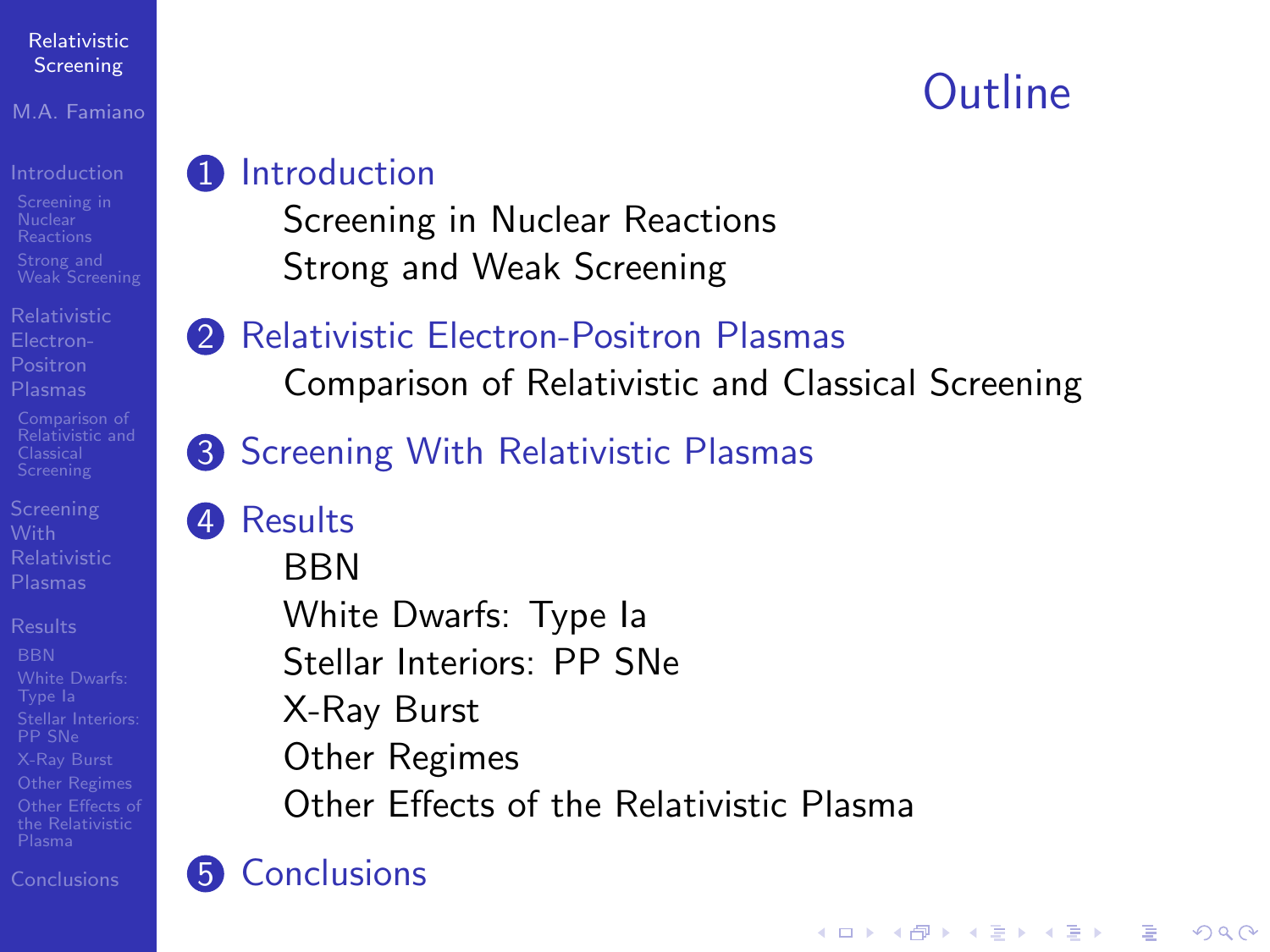### M.A. Famiano

- 
- [Relativistic](#page-5-0) Positron
- 
- 
- [Other Regimes](#page-14-0) [Other Effects of](#page-14-0)

[Conclusions](#page-14-0)

## **1** [Introduction](#page-2-0)

- [Screening in Nuclear Reactions](#page-2-0) [Strong and Weak Screening](#page-4-0)
- **2** [Relativistic Electron-Positron Plasmas](#page-5-0)
	- [Comparison of Relativistic and Classical Screening](#page-11-0)
- **3** [Screening With Relativistic Plasmas](#page-11-0)

## 4 [Results](#page-11-0)

**BRN** [White Dwarfs: Type Ia](#page-14-0) [Stellar Interiors: PP SNe](#page-14-0) [X-Ray Burst](#page-14-0) [Other Regimes](#page-14-0) [Other Effects of the Relativistic Plasma](#page-14-0)

## **6** [Conclusions](#page-14-0)

## **Outline**

**KORK STRAIN A BAR SHOP**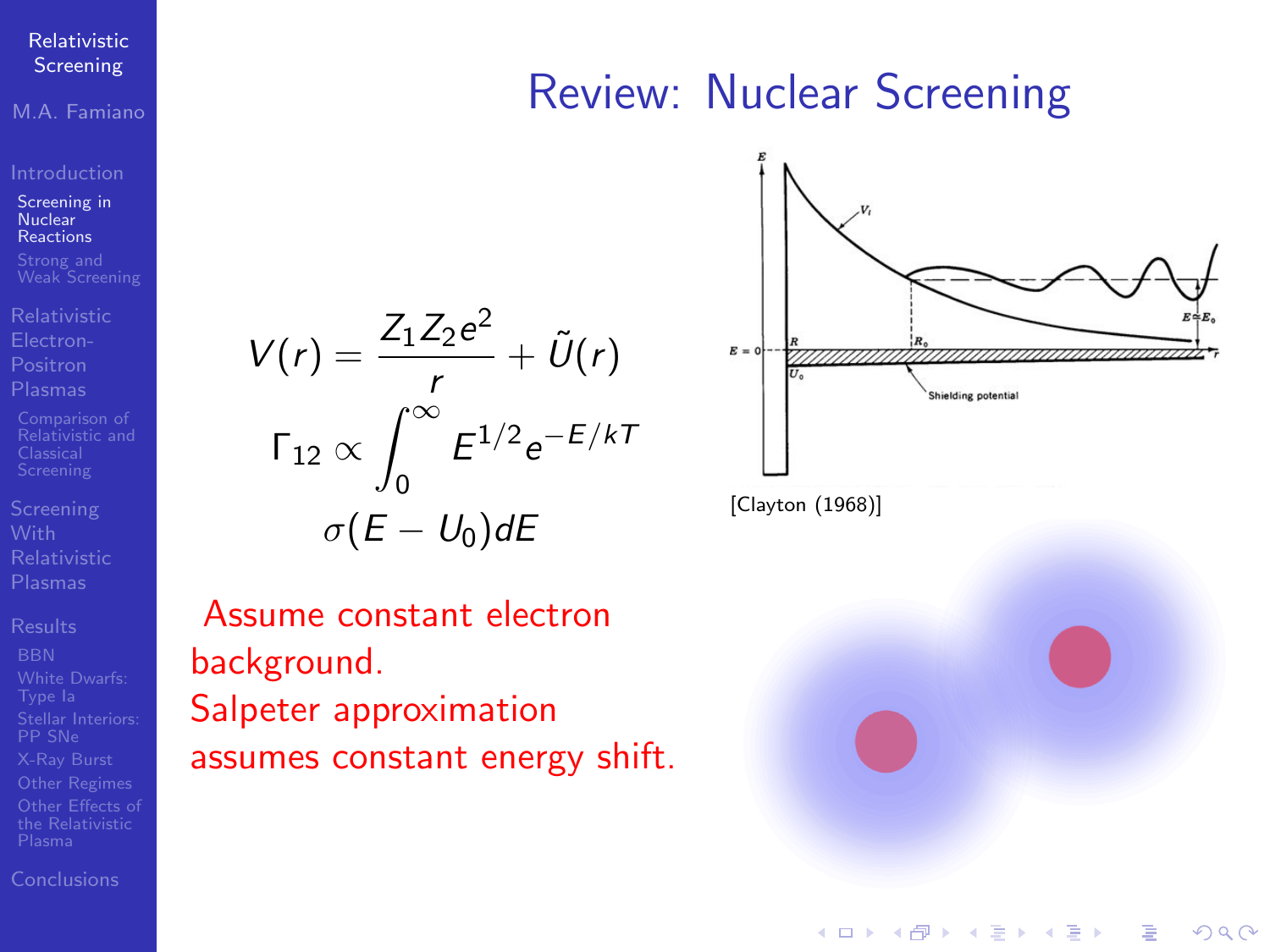<span id="page-2-0"></span>M.A. Famiano

[Screening in](#page-2-0) Nuclear Reactions

Positron

[Relativistic and](#page-11-0)

[Conclusions](#page-14-0)

## Review: Nuclear Screening



Assume constant electron background. Salpeter approximation assumes constant energy shift.

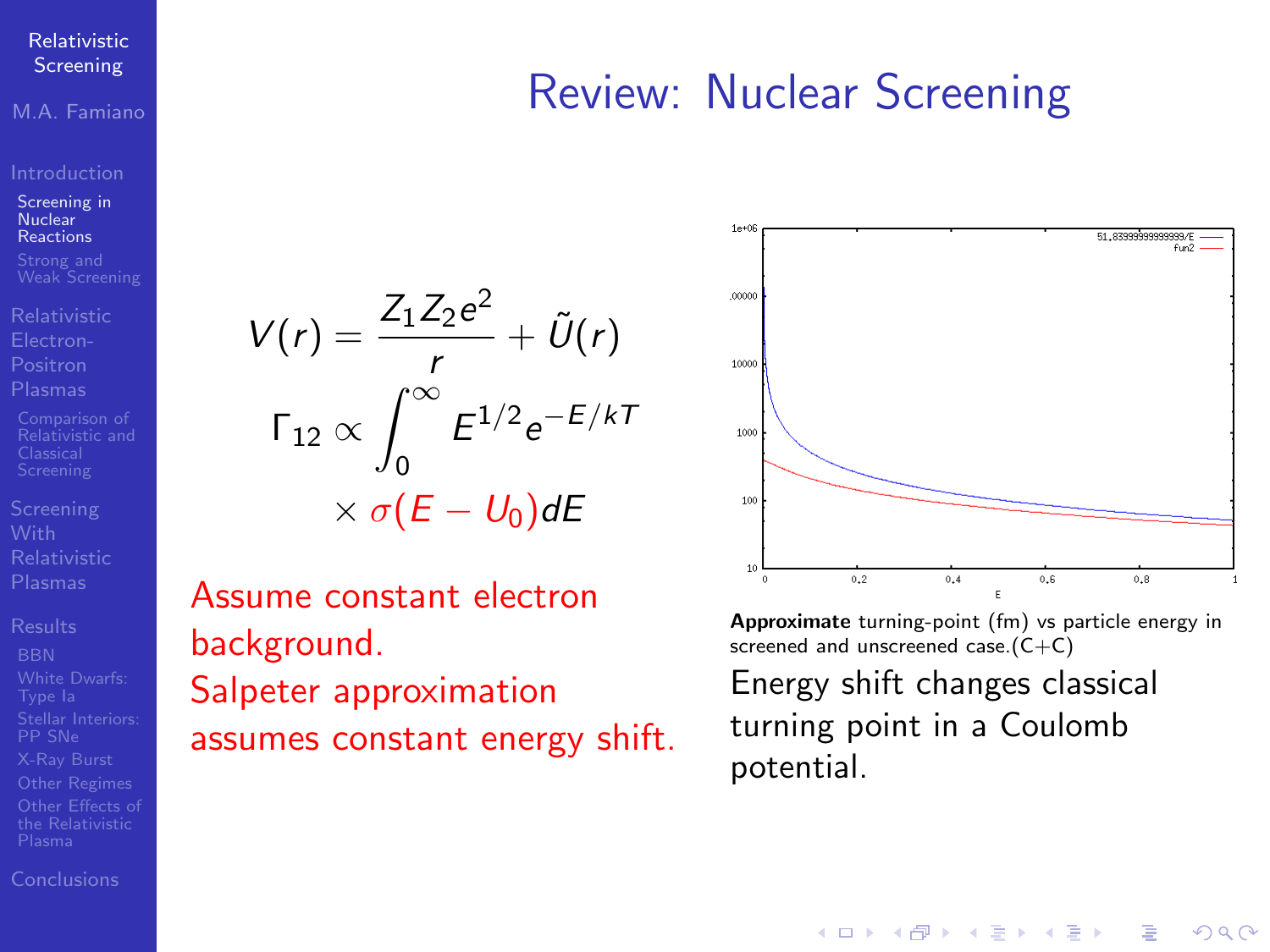M.A. Famiano

[Screening in](#page-2-0) Nuclear Reactions

[Relativistic](#page-5-0)

[Relativistic and](#page-11-0)

[Results](#page-11-0)

[Conclusions](#page-14-0)

## $V(r) = \frac{Z_1 Z_2 e^2}{r}$  $\frac{Z_2e}{r} + \tilde{U}(r)$ Γ<sub>12</sub>  $\propto \int^\infty$ 0  $E^{1/2}e^{-E/kT}$  $\times \sigma(E-U_0)dE$

Assume constant electron background. Salpeter approximation assumes constant energy shift.



Review: Nuclear Screening

Approximate turning-point (fm) vs particle energy in screened and unscreened case.(C+C)

イロト イ押 トイヨト イヨト

 $\Omega$ 

Energy shift changes classical turning point in a Coulomb potential.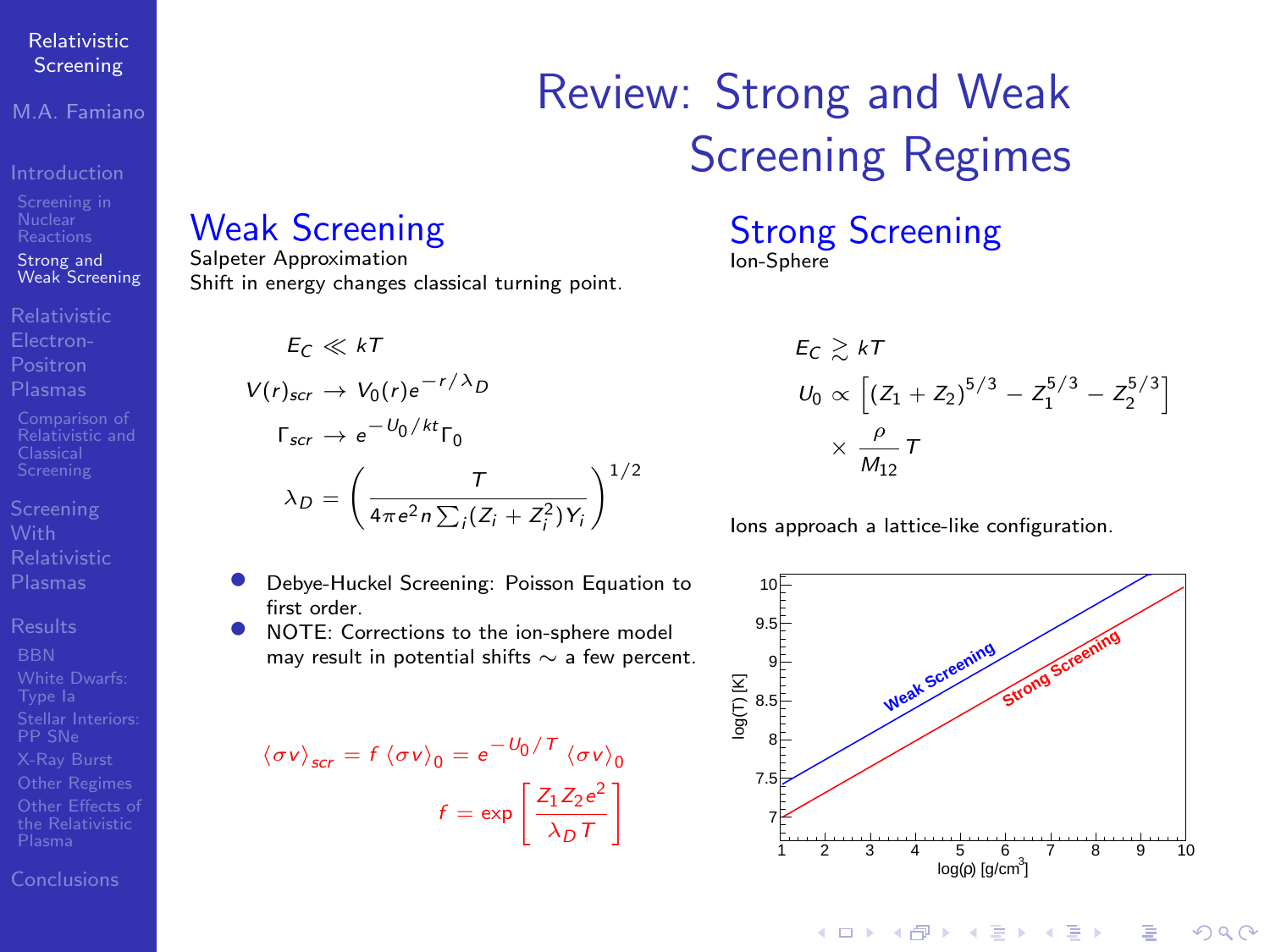M.A. Famiano

Strong and [Weak Screening](#page-4-0)

**Positron** 

[Relativistic and](#page-11-0)

[Conclusions](#page-14-0)

## Review: Strong and Weak Screening Regimes

### <span id="page-4-0"></span>Weak Screening

Salpeter Approximation Shift in energy changes classical turning point.

> $E_C \ll kT$  $V(r)_{scr} \rightarrow V_0(r) e^{-r/\lambda}D$  $Γ_{scr} \rightarrow e^{-U_0/kt} Γ_0$  $\lambda_D = \left(\frac{T}{4\pi r^2 \pi \Sigma G} \right)$  $4\pi e^2 n \sum_i (Z_i + Z_i^2) Y_i$  $\setminus$ <sup>1/2</sup>

- Debye-Huckel Screening: Poisson Equation to first order.
- NOTE: Corrections to the ion-sphere model may result in potential shifts ∼ a few percent.

$$
\langle \sigma v \rangle_{scr} = f \langle \sigma v \rangle_0 = e^{-U_0/T} \langle \sigma v \rangle_0
$$

$$
f = \exp\left[\frac{Z_1 Z_2 e^2}{\lambda_D T}\right]
$$

Strong Screening Ion-Sphere

$$
\begin{aligned} E_C &\gtrsim k \tau \\ U_0 &\propto \left[ (Z_1 + Z_2)^{5/3} - Z_1^{5/3} - Z_2^{5/3} \right] \\ &\times \frac{\rho}{M_{12}} \tau \end{aligned}
$$

Ions approach a lattice-like configuration.



イロト イ押ト イヨト イヨト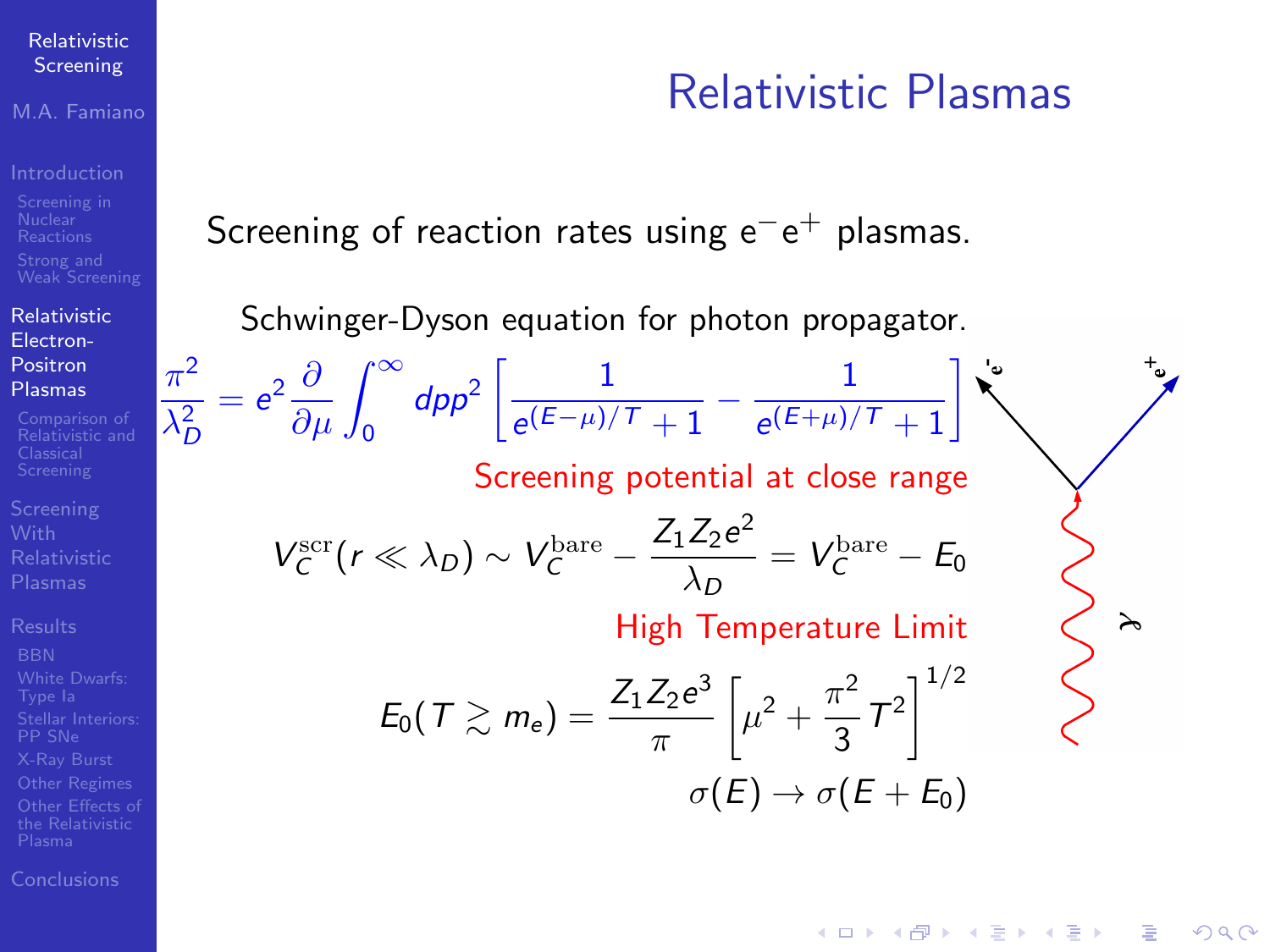### M.A. Famiano

[Relativistic](#page-5-0) Electron-Positron Plasmas

 $\pi^2$  $\lambda_D^2$   $= e^2 \frac{\partial}{\partial \mu} \int_0^\infty$ 

[Relativistic and](#page-11-0)

[Conclusions](#page-14-0)

## Relativistic Plasmas

<span id="page-5-0"></span>Screening of reaction rates using  $\mathrm{e}^-\mathrm{e}^+$  plasmas.

Schwinger-Dyson equation for photon propagator.

 $dpp^2$   $\left[\frac{1}{(E-\mu)^2}\right]$ 

 $\frac{1}{e^{(E-\mu)/\mathcal{T}}+1}-\frac{1}{e^{(E+\mu)/\mathcal{T}}}$  $\frac{1}{e^{(E+\mu)/T}+1}$ Screening potential at close range

$$
V_C^{\rm scr}(r\ll\lambda_D)\sim V_C^{\rm bare}-\frac{Z_1Z_2e^2}{\lambda_D}=V_C^{\rm bare}-E_0
$$

High Temperature Limit

$$
E_0(T \gtrsim m_e) = \frac{Z_1 Z_2 e^3}{\pi} \left[ \mu^2 + \frac{\pi^2}{3} T^2 \right]^{1/2}
$$

$$
\sigma(E) \rightarrow \sigma(E + E_0)
$$

 $(1 - 4)$   $(1 - 4)$   $(1 - 4)$   $(1 - 4)$   $(1 - 4)$   $(1 - 4)$   $(1 - 4)$   $(1 - 4)$   $(1 - 4)$   $(1 - 4)$   $(1 - 4)$   $(1 - 4)$   $(1 - 4)$   $(1 - 4)$   $(1 - 4)$   $(1 - 4)$   $(1 - 4)$   $(1 - 4)$   $(1 - 4)$   $(1 - 4)$   $(1 - 4)$   $(1 - 4)$   $(1 - 4)$   $(1 - 4)$   $(1 -$  $\equiv$  $\Omega$ 

 $\lambda$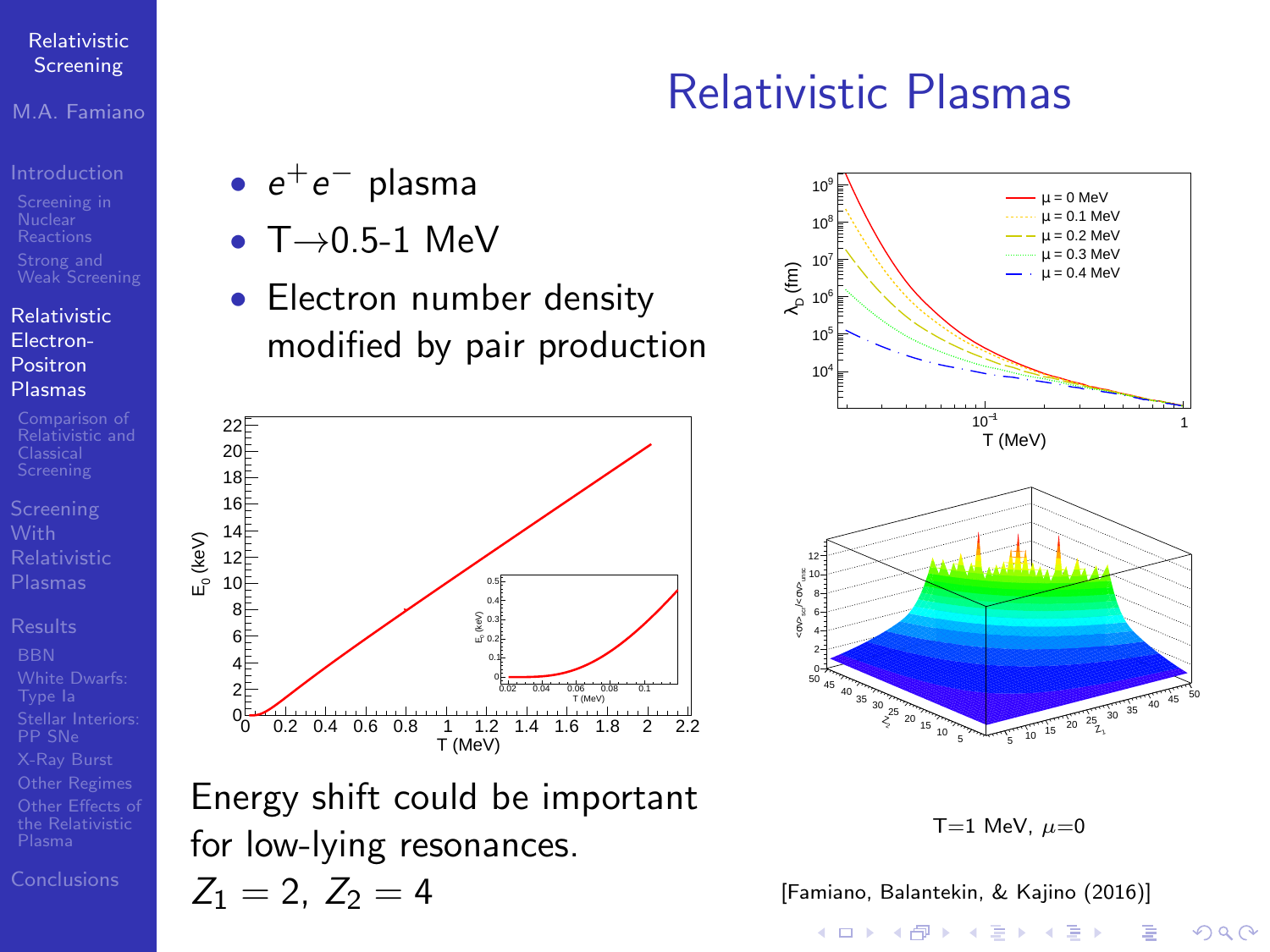### M.A. Famiano

### [Relativistic](#page-5-0) Electron-Positron Plasmas

- [Relativistic and](#page-11-0)
- 
- 

- $\bullet\,\,e^+e^-\,$  plasma
- $T \rightarrow 0.5-1$  MeV
- Electron number density modified by pair production



Energy shift could be important for low-lying resonances.  $Z_1 = 2, Z_2 = 4$ 

### $10^{-1}$  1<br>−T (MeV) 1 :<br>ام<br>الم 10 10  $10^6$ 10 10  $10^9$   $\rightarrow$  $= 0$  MeV µ = 0.1 MeV µ = 0.2 MeV µ = 0.3 MeV µ = 0.4 MeV  $12 +$

Relativistic Plasmas





 $2990$ 

[\[Famiano, Balantekin, & Kajino \(2016\)\]](#page-15-2)

イロメ 不優 メイ君メ イ君メー 君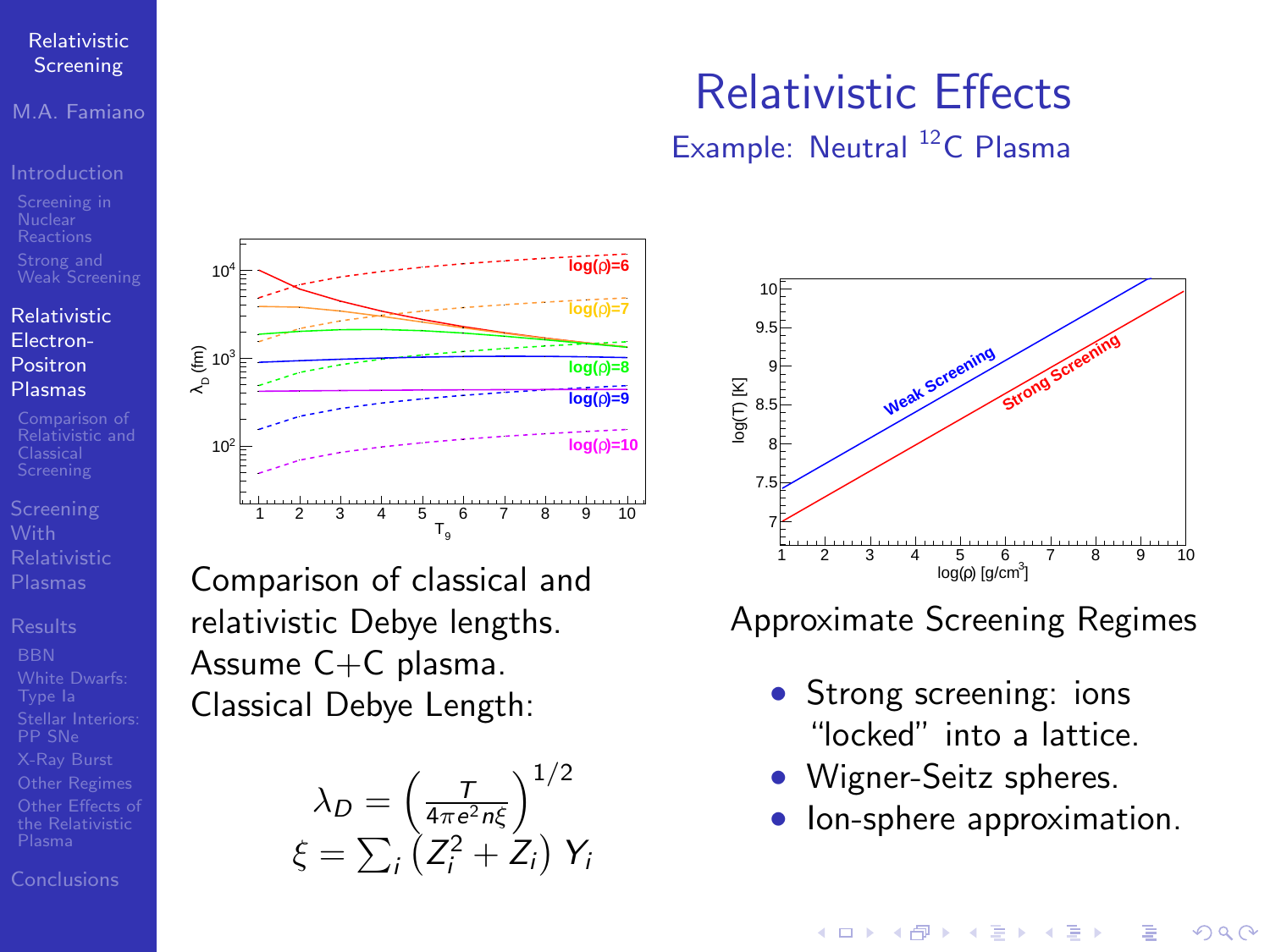M.A. Famiano

### [Relativistic](#page-5-0) Electron-Positron Plasmas

[Conclusions](#page-14-0)

### $T_a$ 1 2 3 4 5 6 7 8 9 10  $\begin{bmatrix} 2 & 10^3 \\ 1 & 2 & 10^3 \\ 1 & 1 & 10^3 \end{bmatrix}$  $10^{2}$ 10<sup>4</sup> **log(**ρ)=6 **log(**ρ)=6 **log(**ρ**)=7 log(**ρ**)=8 log(**ρ**)=9 log(**ρ**)=10**

Comparison of classical and relativistic Debye lengths. Assume C+C plasma. Classical Debye Length:

$$
\lambda_D = \left(\frac{T}{4\pi e^2 n \xi}\right)^{1/2}
$$

$$
\xi = \sum_i \left(Z_i^2 + Z_i\right) Y_i
$$

## Relativistic Effects

Example: Neutral <sup>12</sup>C Plasma



Approximate Screening Regimes

- Strong screening: ions "locked" into a lattice.
- Wigner-Seitz spheres.
- Ion-sphere approximation.

 $4$  ロ )  $4$   $\overline{r}$  )  $4$   $\overline{z}$  )  $4$   $\overline{z}$  )

 $QQ$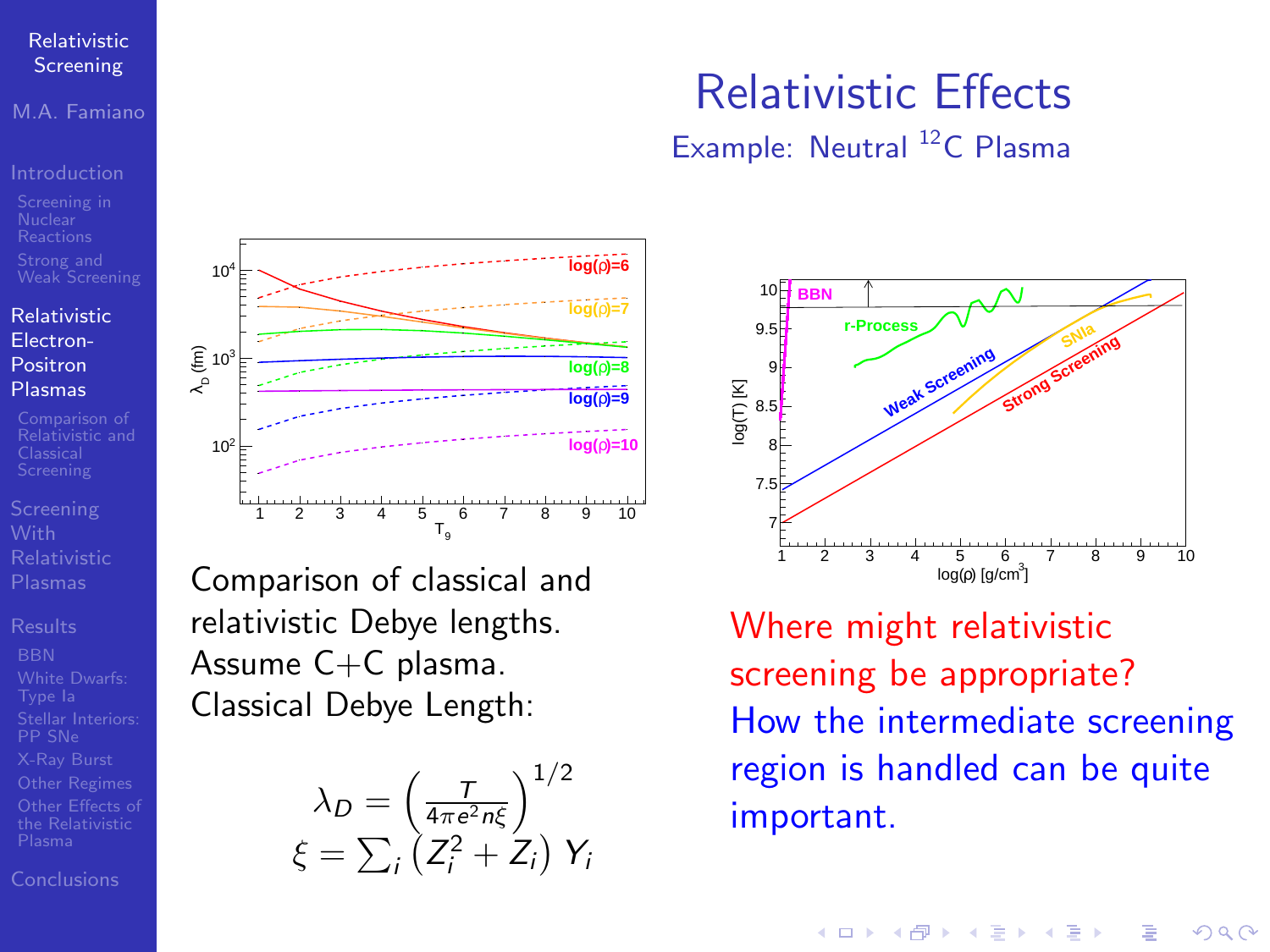M.A. Famiano

### [Relativistic](#page-5-0) Electron-Positron Plasmas

[Conclusions](#page-14-0)

### $T_a$ 1 2 3 4 5 6 7 8 9 10  $\begin{bmatrix} 2 & 10^3 \\ 1 & 2 & 10^3 \\ 1 & 1 & 10^3 \end{bmatrix}$  $10^{2}$ 10<sup>4</sup> **log(**ρ)=6 **log(**ρ)=6 **log(**ρ**)=7 log(**ρ**)=8 log(**ρ**)=9 log(**ρ**)=10**

Comparison of classical and relativistic Debye lengths. Assume C+C plasma. Classical Debye Length:

$$
\lambda_D = \left(\frac{7}{4\pi e^2 n \xi}\right)^{1/2}
$$

$$
\xi = \sum_i \left(Z_i^2 + Z_i\right) Y_i
$$

## Relativistic Effects

Example: Neutral <sup>12</sup>C Plasma



Where might relativistic screening be appropriate? How the intermediate screening region is handled can be quite important.

 $4$  ロ )  $4$   $\overline{r}$  )  $4$   $\overline{z}$  )  $4$   $\overline{z}$  )

 $QQ$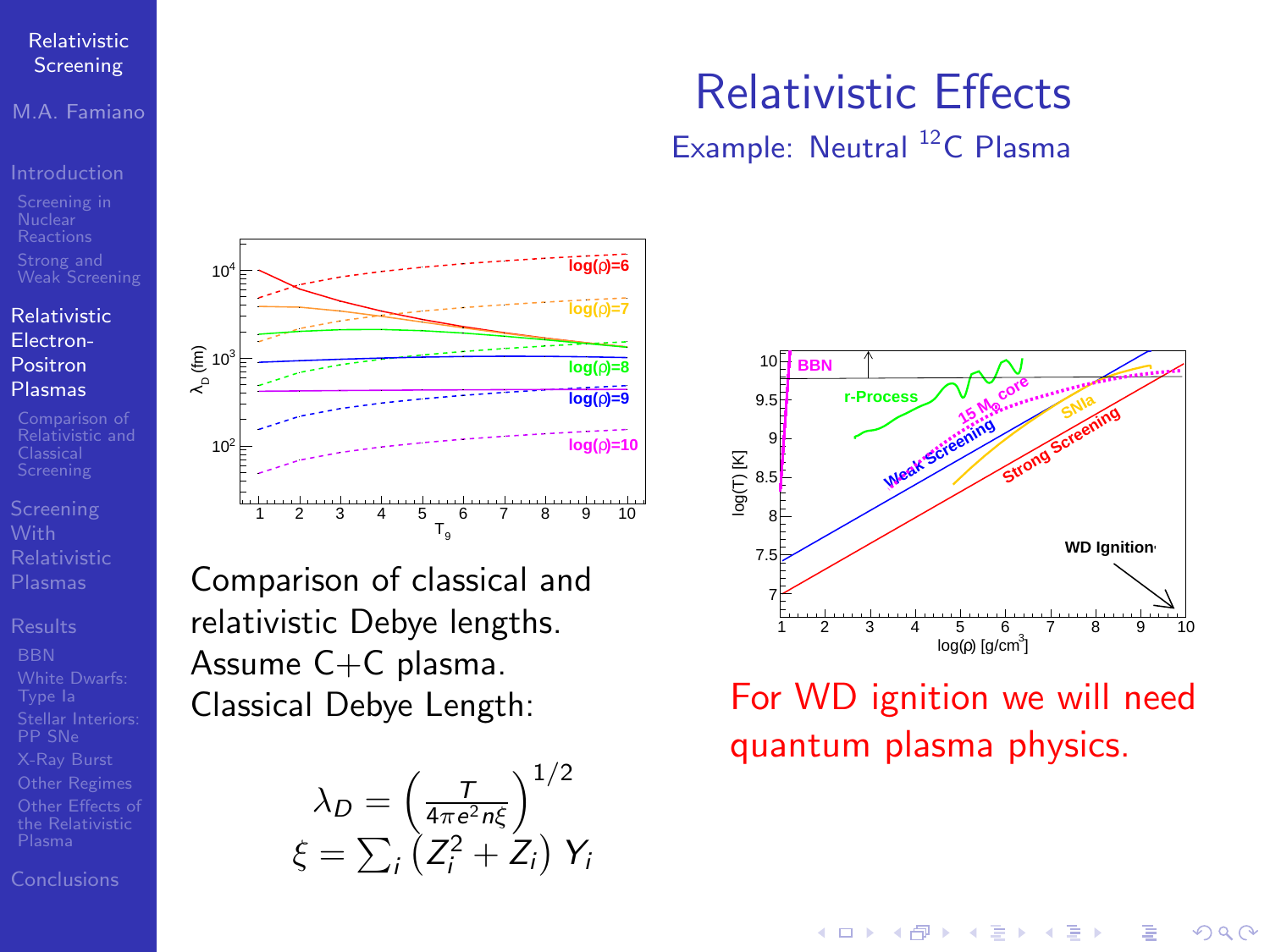M.A. Famiano

### [Relativistic](#page-5-0) Electron-Positron Plasmas

[Relativistic and](#page-11-0)

[Conclusions](#page-14-0)

### $T_{\alpha}$ 1 2 3 4 5 6 7 8 9 10  $\begin{bmatrix} 2 & 10^3 \\ 1 & 2 & 10^3 \\ 1 & 1 & 10^3 \end{bmatrix}$  $10^{2}$ 10<sup>4</sup> **log(**ρ)=6 **log(**ρ)=6 **log(**ρ**)=7 log(**ρ**)=8 log(**ρ**)=9 log(**ρ**)=10**

Comparison of classical and relativistic Debye lengths. Assume C+C plasma. Classical Debye Length:

$$
\lambda_D = \left(\frac{T}{4\pi e^2 n \xi}\right)^{1/2}
$$

$$
\xi = \sum_i \left(Z_i^2 + Z_i\right) Y_i
$$

## Relativistic Effects

Example: Neutral <sup>12</sup>C Plasma



## For WD ignition we will need quantum plasma physics.

 $4$  ロ )  $4$   $\overline{r}$  )  $4$   $\overline{z}$  )  $4$   $\overline{z}$  )  $QQ$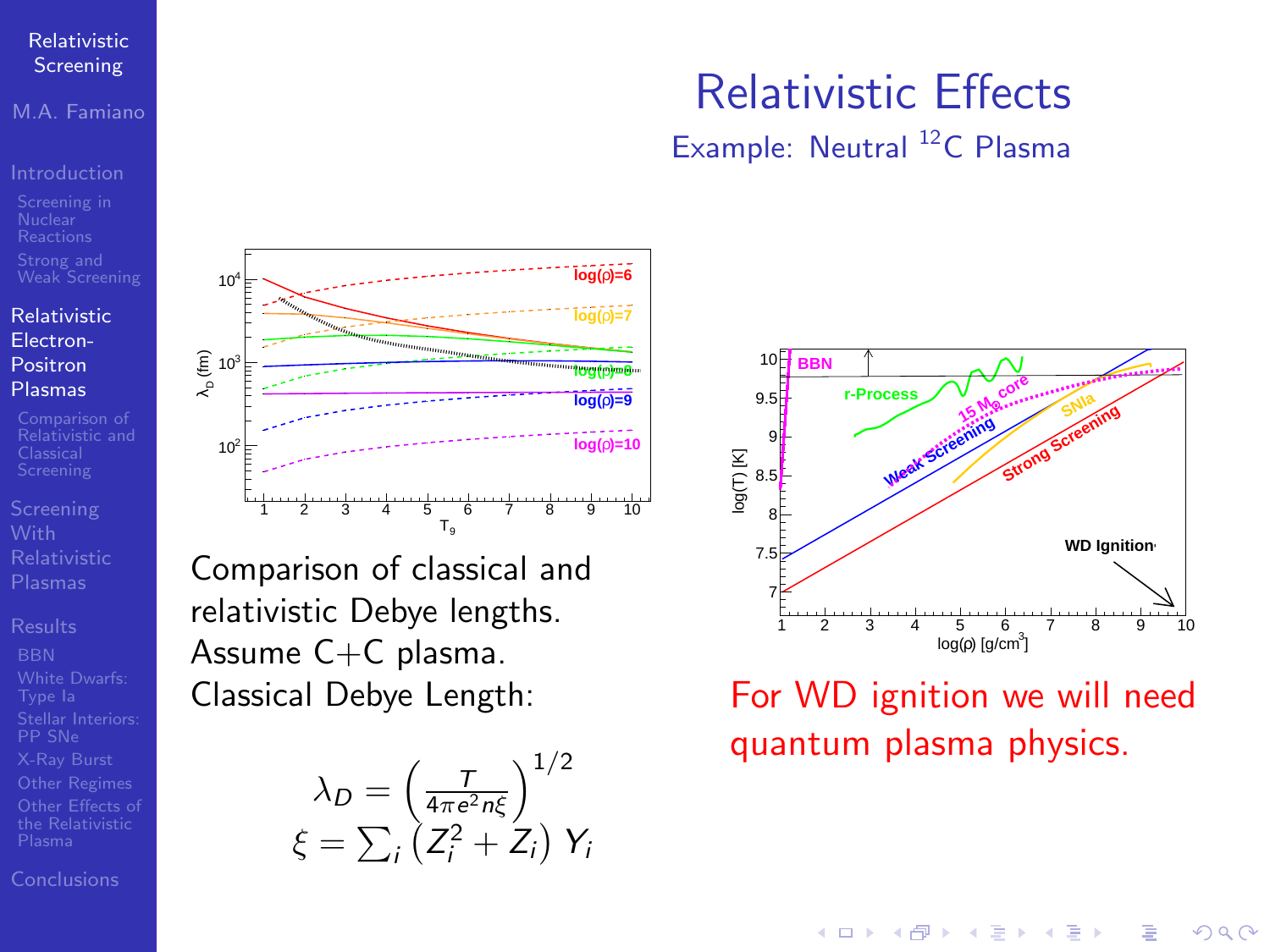<span id="page-10-0"></span>M.A. Famiano

### [Relativistic](#page-5-0) Electron-Positron Plasmas

[Relativistic and](#page-11-0)

[Conclusions](#page-14-0)

## Relativistic Effects

Example: Neutral <sup>12</sup>C Plasma



## For WD ignition we will need quantum plasma physics.

 $4$  ロ )  $4$   $\overline{r}$  )  $4$   $\overline{z}$  )  $4$   $\overline{z}$  )

 $QQ$ 



Comparison of classical and relativistic Debye lengths. Assume C+C plasma. Classical Debye Length:

$$
\lambda_D = \left(\frac{7}{4\pi e^2 n \xi}\right)^{1/2}
$$

$$
\xi = \sum_i \left(Z_i^2 + Z_i\right) Y_i
$$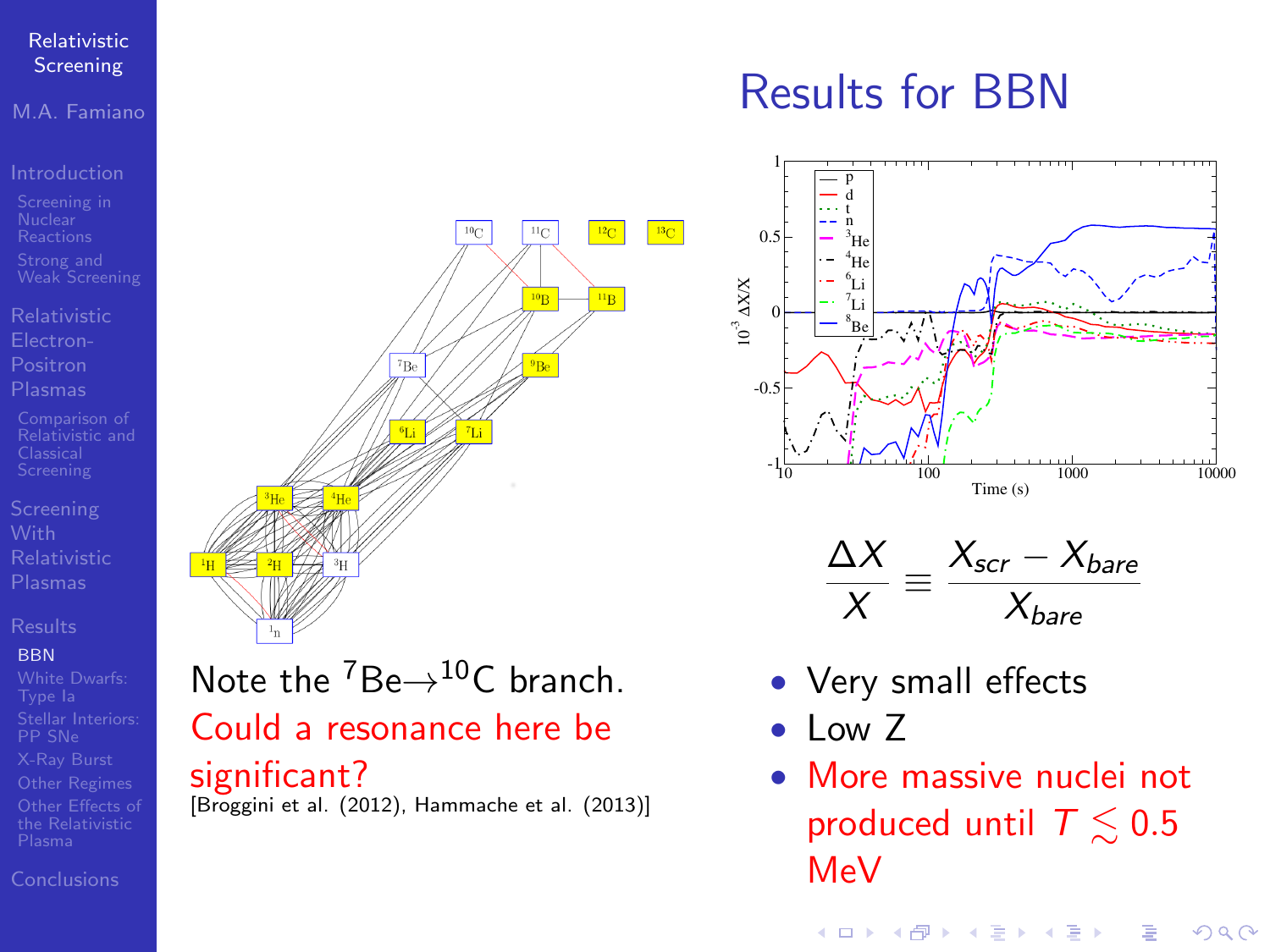### M.A. Famiano

- 
- 
- [Relativistic and](#page-11-0)
- 

### **BRN**

- 
- [Conclusions](#page-14-0)

# <span id="page-11-0"></span> $n_{\rm C}$  $^{12}$ C  $^{13}$ C  $\overline{^{10}B}$  $n_B$ 'n.  $\frac{100}{\text{m}} \frac{1}{\text{m}}$ <br>  $\frac{X}{X} = \frac{X_{scr} - X_{bare}}{X_{bare}}$ <br>
Note the <sup>7</sup>Be  $\rightarrow$  <sup>10</sup>C branch.<br> **Could a resonance here be**<br> **Significant?** • Nore massive nuclei not<br> **Significant?** • More massive nuclei not

- 
- Note the  $^7$ Be $\rightarrow$ <sup>10</sup>C branch. Could a resonance here be

significant?<br>[Broggini et al. (2012), Hammache et al. (2013)]

## Results for BBN





- Very small effects
- Low Z
- More massive nuclei not produced until  $T \lesssim 0.5$ MeV

Þ

 $QQ$ 

 $4$  ロ )  $4$   $\overline{r}$  )  $4$   $\overline{z}$  )  $4$   $\overline{z}$  )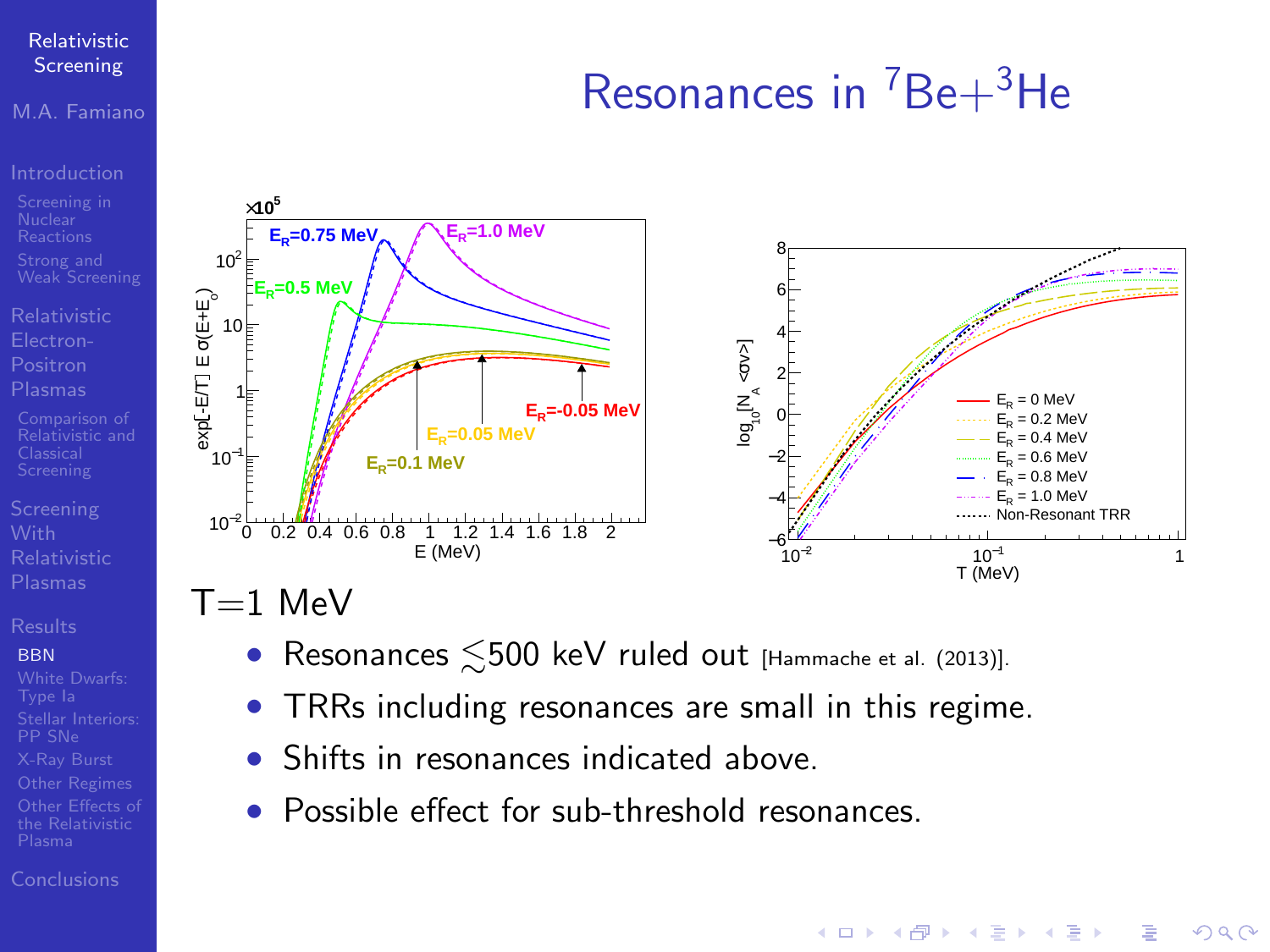### M.A. Famiano

[Relativistic and](#page-11-0)

### **BRN**

### [Conclusions](#page-14-0)

## Resonances in  ${}^{7}Be+{}^{3}He$

 $\mathbf{E} = \mathbf{A} \oplus \mathbf{A} + \mathbf{A} \oplus \mathbf{A} + \mathbf{A} \oplus \mathbf{A} + \mathbf{A} \oplus \mathbf{A} + \mathbf{A} \oplus \mathbf{A} + \mathbf{A} \oplus \mathbf{A} + \mathbf{A} \oplus \mathbf{A} + \mathbf{A} \oplus \mathbf{A} + \mathbf{A} \oplus \mathbf{A} + \mathbf{A} \oplus \mathbf{A} + \mathbf{A} \oplus \mathbf{A} + \mathbf{A} \oplus \mathbf{A} + \mathbf{A} \oplus \mathbf{A} + \mathbf{A$ 

 $2990$ 

<span id="page-12-0"></span>

- Resonances  $\leq 500$  keV ruled out [\[Hammache et al. \(2013\)\]](#page-15-4).
- TRRs including resonances are small in this regime.
- Shifts in resonances indicated above.
- Possible effect for sub-threshold resonances.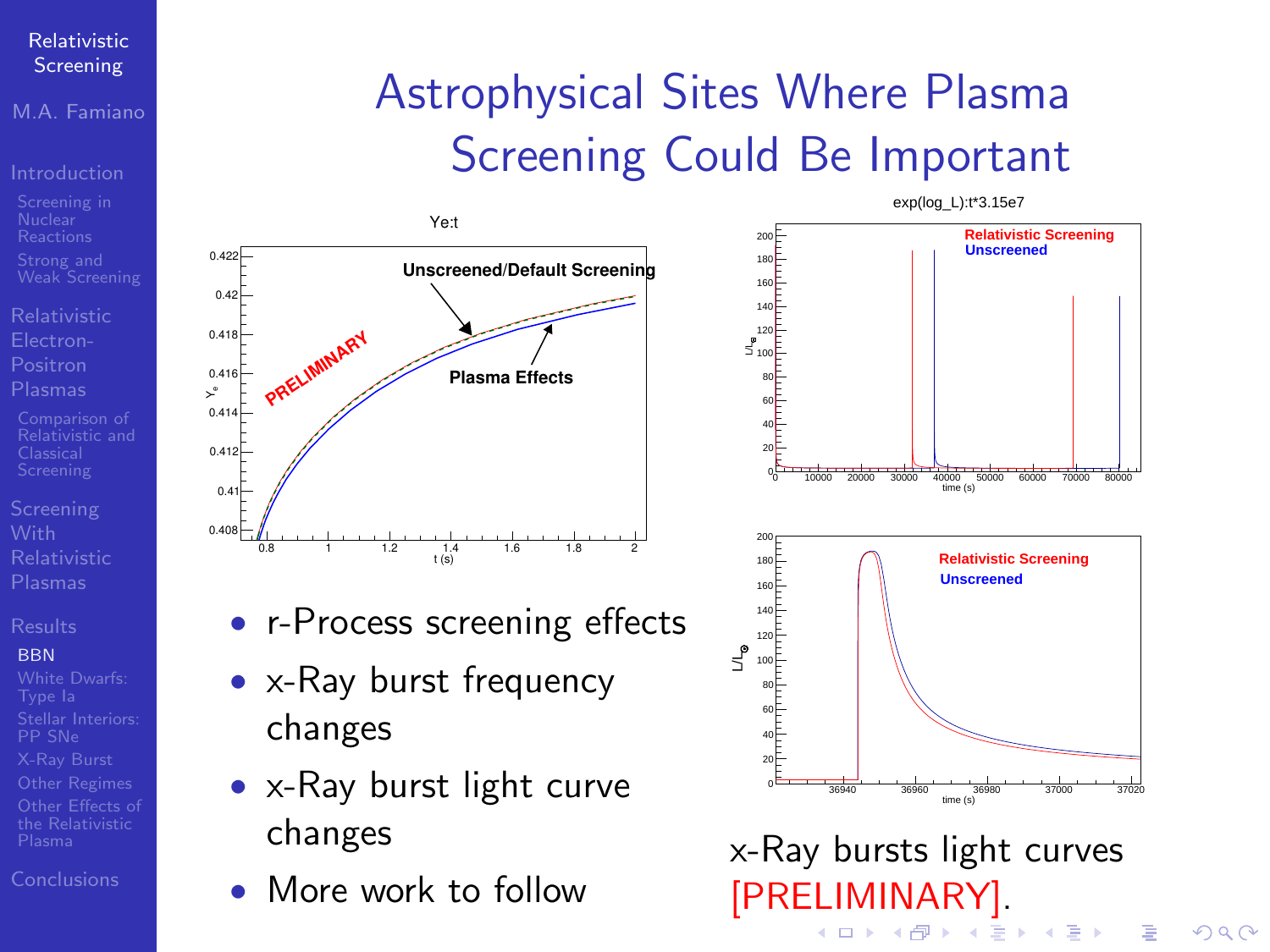M.A. Famiano

[Relativistic](#page-5-0)

### **BRN**

[Other Regimes](#page-14-0)

[Conclusions](#page-14-0)

## <span id="page-13-0"></span>Astrophysical Sites Where Plasma Screening Could Be Important



- r-Process screening effects
- x-Ray burst frequency changes
- x-Ray burst light curve changes
- More work to follow



 $\left\{ \begin{array}{ccc} \square & \rightarrow & \left\langle \begin{array}{ccc} \square & \square & \end{array} \right\rangle & \left\langle \begin{array}{ccc} \square & \bot & \end{array} \right\rangle & \left\langle \begin{array}{ccc} \square & \bot & \end{array} \right\rangle \end{array} \right.$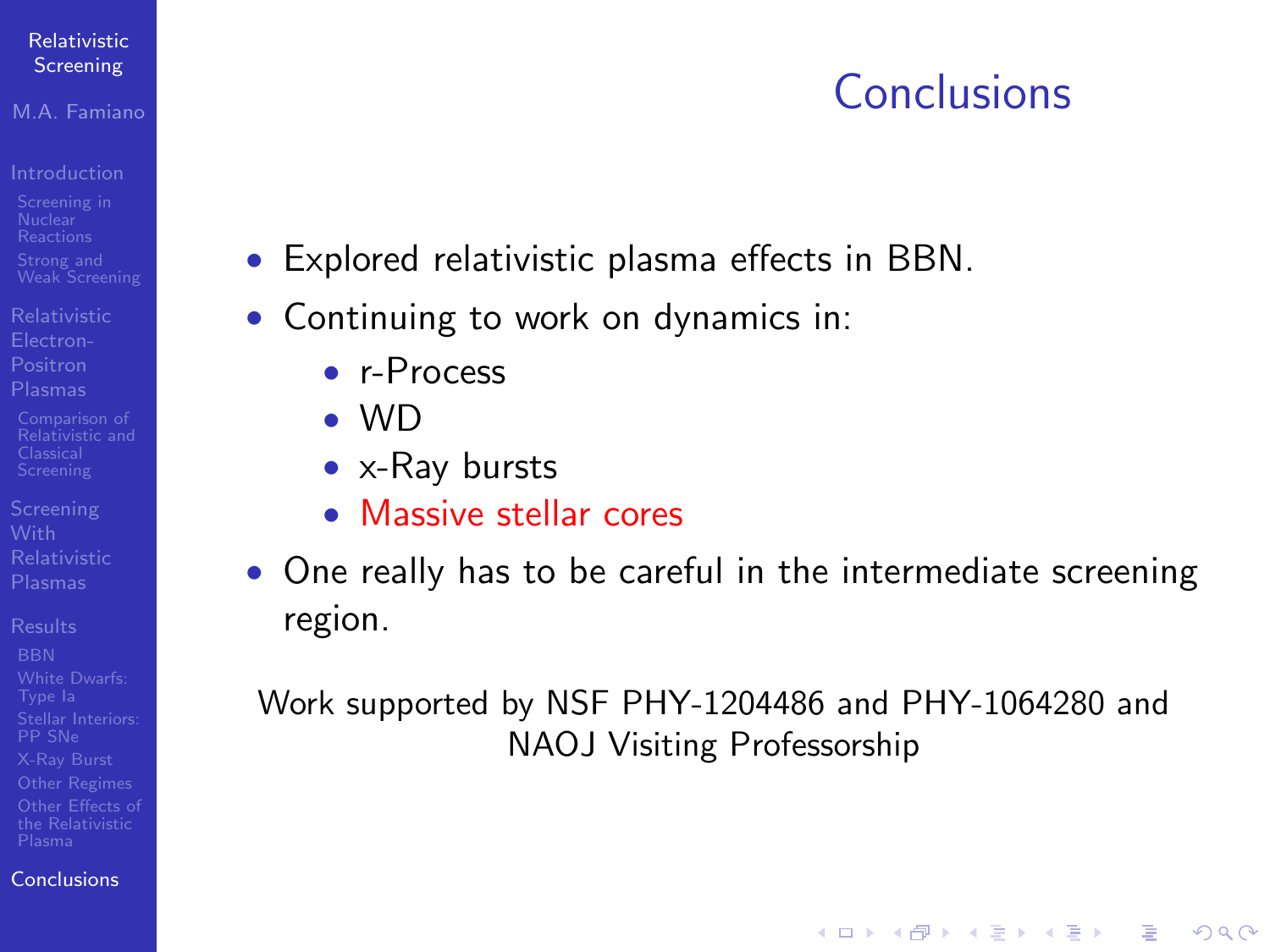### <span id="page-14-0"></span>M.A. Famiano

- 
- [Relativistic](#page-5-0) Positron
- [Relativistic and](#page-11-0)
- 
- 
- [Conclusions](#page-14-0)

## Conclusions

 $\mathbf{E} = \mathbf{A} \oplus \mathbf{A} + \mathbf{A} \oplus \mathbf{A} + \mathbf{A} \oplus \mathbf{A} + \mathbf{A} \oplus \mathbf{A} + \mathbf{A} \oplus \mathbf{A} + \mathbf{A} \oplus \mathbf{A} + \mathbf{A} \oplus \mathbf{A} + \mathbf{A} \oplus \mathbf{A} + \mathbf{A} \oplus \mathbf{A} + \mathbf{A} \oplus \mathbf{A} + \mathbf{A} \oplus \mathbf{A} + \mathbf{A} \oplus \mathbf{A} + \mathbf{A} \oplus \mathbf{A} + \mathbf{A$ 

 $2Q$ 

- Explored relativistic plasma effects in BBN.
- Continuing to work on dynamics in:
	- r-Process
	- $\bullet$  MD
	- x-Ray bursts
	- Massive stellar cores
- One really has to be careful in the intermediate screening region.

Work supported by NSF PHY-1204486 and PHY-1064280 and NAOJ Visiting Professorship